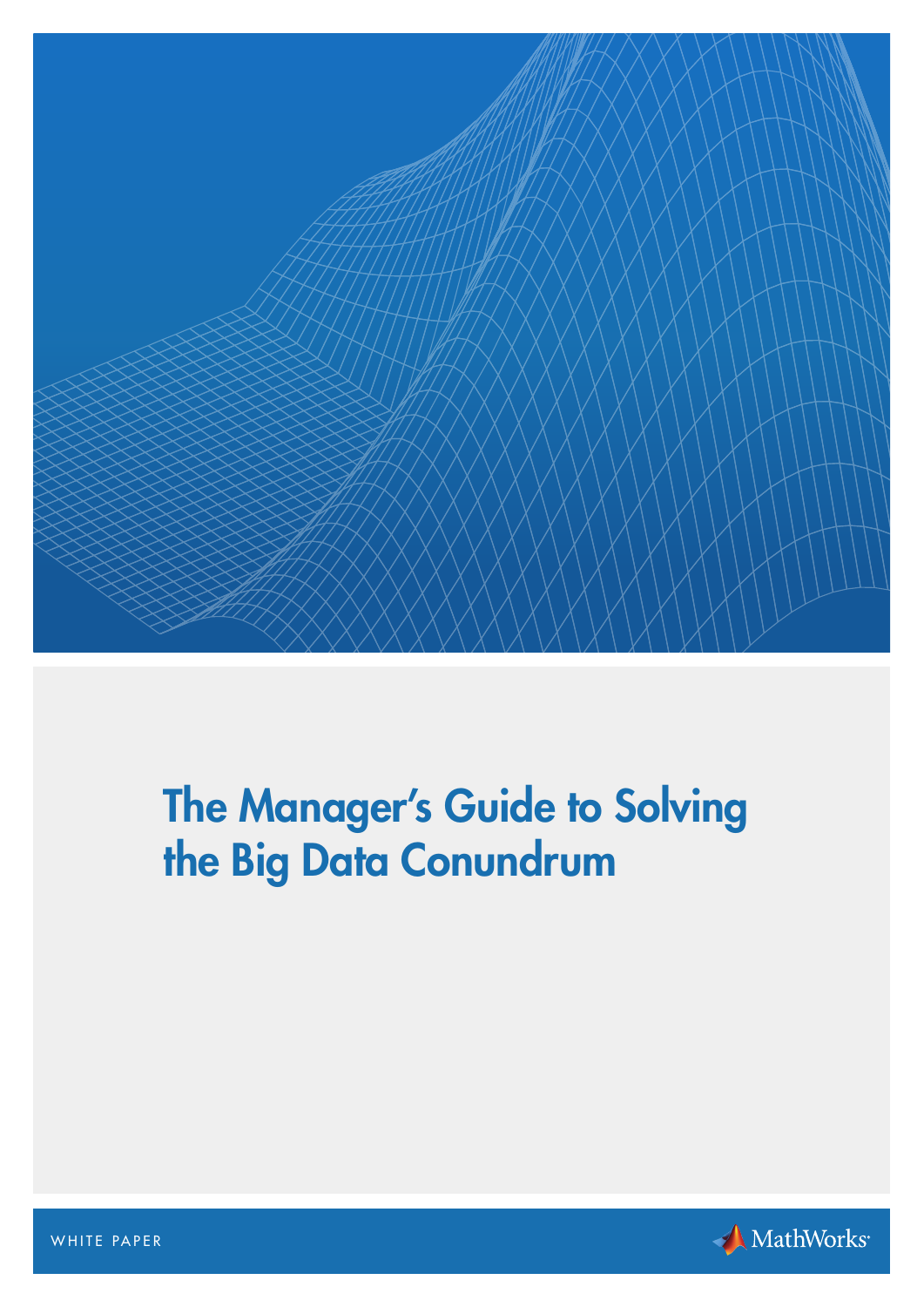

# The Manager's Guide to Solving the Big Data Conundrum



WHITE PAPER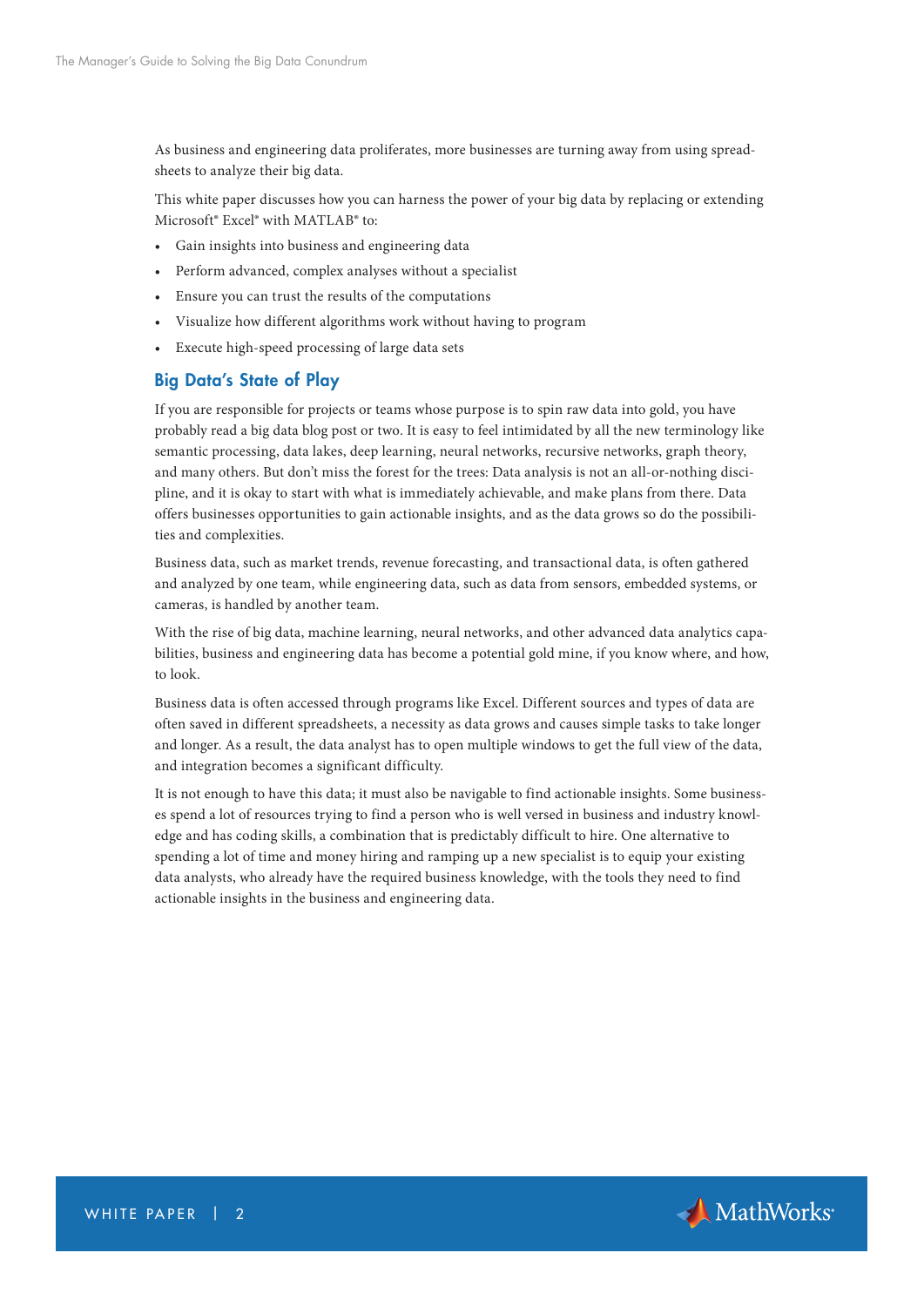As business and engineering data proliferates, more businesses are turning away from using spreadsheets to analyze their big data.

This white paper discusses how you can harness the power of your big data by replacing or extending Microsoft® Excel® with MATLAB® to:

- Gain insights into business and engineering data
- Perform advanced, complex analyses without a specialist
- Ensure you can trust the results of the computations
- Visualize how different algorithms work without having to program
- Execute high-speed processing of large data sets

## Big Data's State of Play

If you are responsible for projects or teams whose purpose is to spin raw data into gold, you have probably read a big data blog post or two. It is easy to feel intimidated by all the new terminology like semantic processing, data lakes, deep learning, neural networks, recursive networks, graph theory, and many others. But don't miss the forest for the trees: Data analysis is not an all-or-nothing discipline, and it is okay to start with what is immediately achievable, and make plans from there. Data offers businesses opportunities to gain actionable insights, and as the data grows so do the possibilities and complexities.

Business data, such as market trends, revenue forecasting, and transactional data, is often gathered and analyzed by one team, while engineering data, such as data from sensors, embedded systems, or cameras, is handled by another team.

With the rise of big data, machine learning, neural networks, and other advanced data analytics capabilities, business and engineering data has become a potential gold mine, if you know where, and how, to look.

Business data is often accessed through programs like Excel. Different sources and types of data are often saved in different spreadsheets, a necessity as data grows and causes simple tasks to take longer and longer. As a result, the data analyst has to open multiple windows to get the full view of the data, and integration becomes a significant difficulty.

It is not enough to have this data; it must also be navigable to find actionable insights. Some businesses spend a lot of resources trying to find a person who is well versed in business and industry knowledge and has coding skills, a combination that is predictably difficult to hire. One alternative to spending a lot of time and money hiring and ramping up a new specialist is to equip your existing data analysts, who already have the required business knowledge, with the tools they need to find actionable insights in the business and engineering data.

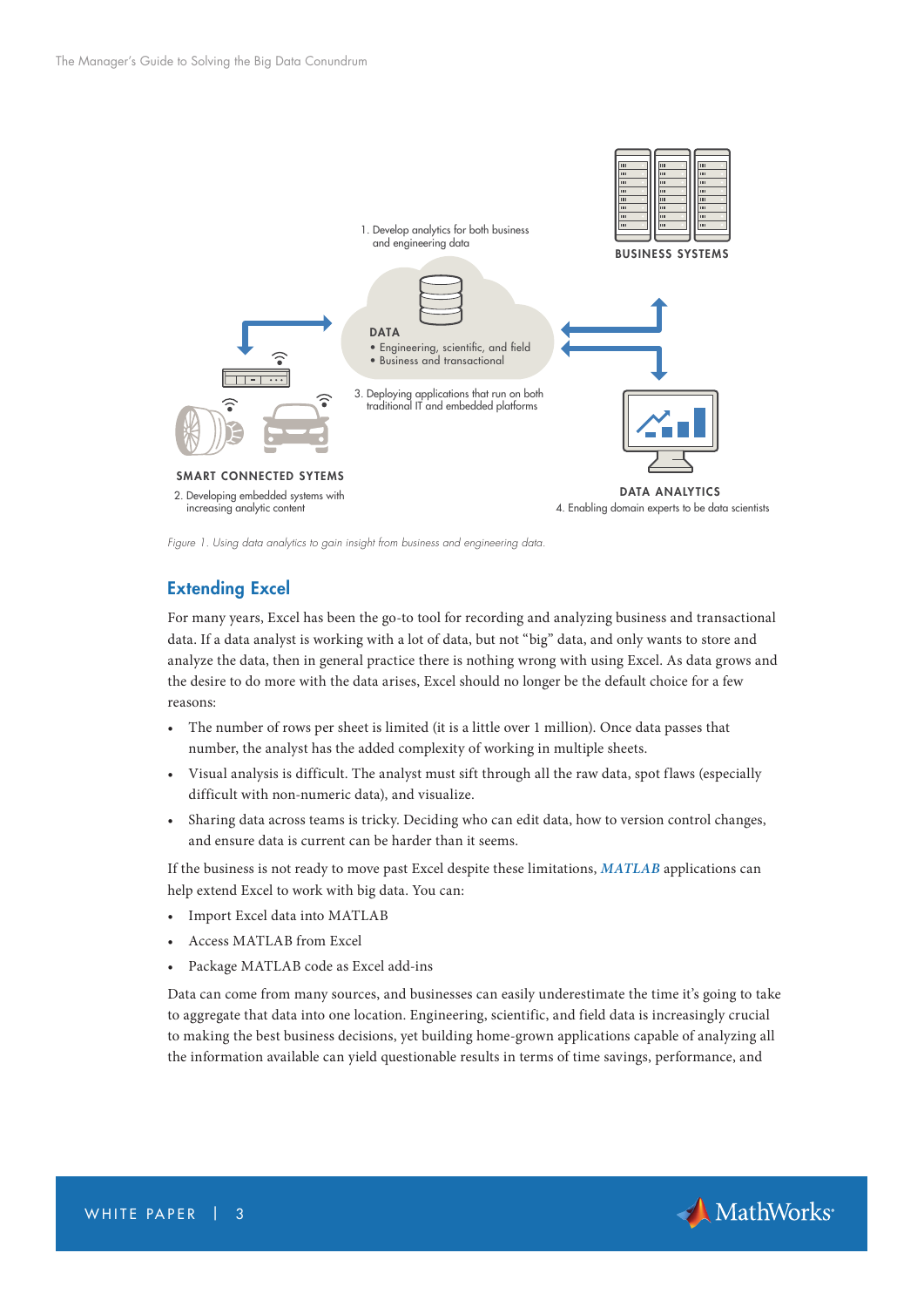

*Figure 1. Using data analytics to gain insight from business and engineering data.*

## Extending Excel

For many years, Excel has been the go-to tool for recording and analyzing business and transactional data. If a data analyst is working with a lot of data, but not "big" data, and only wants to store and analyze the data, then in general practice there is nothing wrong with using Excel. As data grows and the desire to do more with the data arises, Excel should no longer be the default choice for a few reasons:

- The number of rows per sheet is limited (it is a little over 1 million). Once data passes that number, the analyst has the added complexity of working in multiple sheets.
- Visual analysis is difficult. The analyst must sift through all the raw data, spot flaws (especially difficult with non-numeric data), and visualize.
- Sharing data across teams is tricky. Deciding who can edit data, how to version control changes, and ensure data is current can be harder than it seems.

If the business is not ready to move past Excel despite these limitations, *[MATLAB](https://www.mathworks.com/products/matlab/?s_tid=OIT_14416)* applications can help extend Excel to work with big data. You can:

- Import Excel data into MATLAB
- Access MATLAB from Excel
- Package MATLAB code as Excel add-ins

Data can come from many sources, and businesses can easily underestimate the time it's going to take to aggregate that data into one location. Engineering, scientific, and field data is increasingly crucial to making the best business decisions, yet building home-grown applications capable of analyzing all the information available can yield questionable results in terms of time savings, performance, and

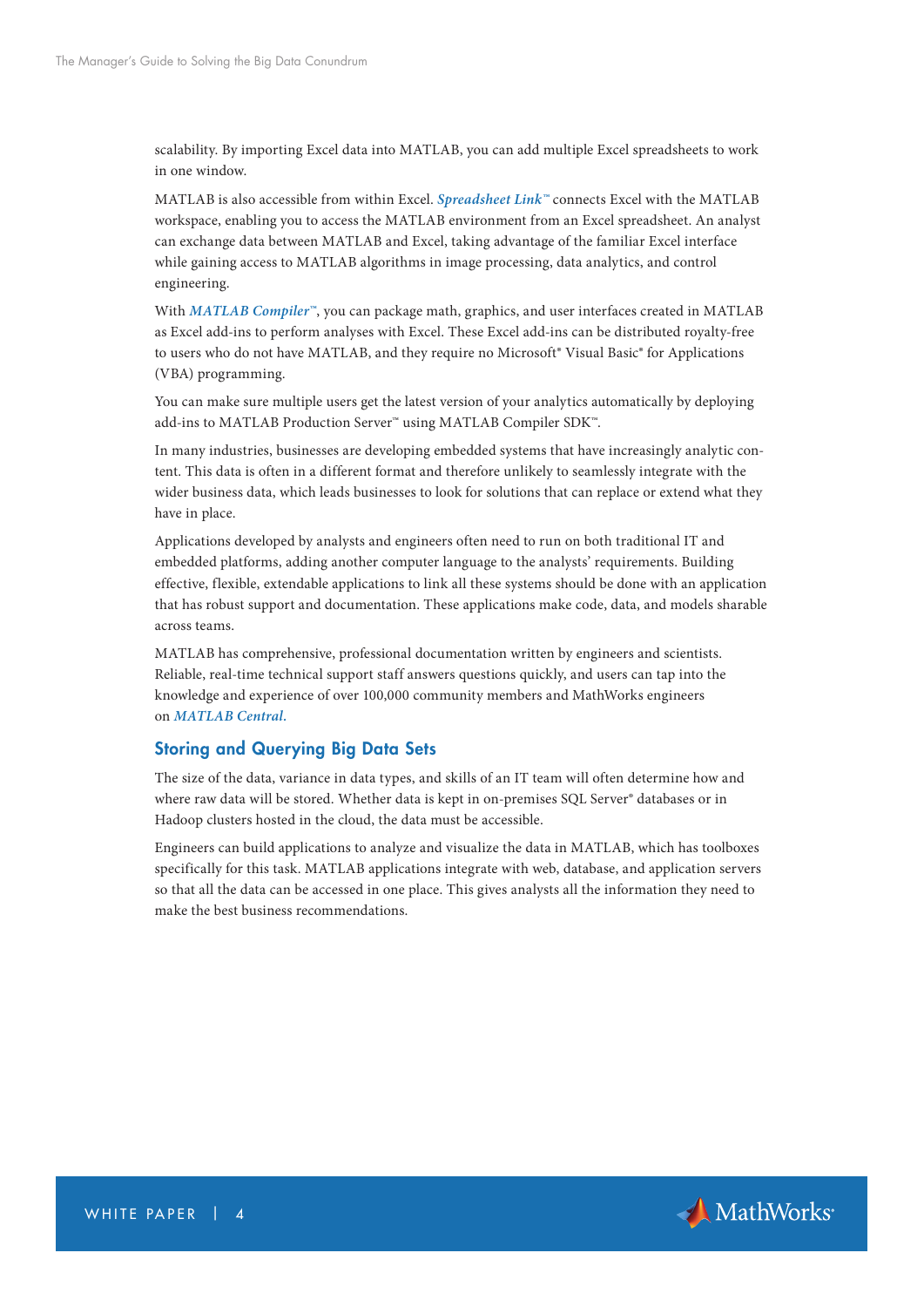scalability. By importing Excel data into MATLAB, you can add multiple Excel spreadsheets to work in one window.

MATLAB is also accessible from within Excel. *[Spreadsheet Link™](https://uk.mathworks.com/products/excellink/?s_tid=OIT_14395)* connects Excel with the MATLAB workspace, enabling you to access the MATLAB environment from an Excel spreadsheet. An analyst can exchange data between MATLAB and Excel, taking advantage of the familiar Excel interface while gaining access to MATLAB algorithms in image processing, data analytics, and control engineering.

With *[MATLAB Compiler™](https://uk.mathworks.com/products/compiler/?s_tid=OIT_14396)*, you can package math, graphics, and user interfaces created in MATLAB as Excel add-ins to perform analyses with Excel. These Excel add-ins can be distributed royalty-free to users who do not have MATLAB, and they require no Microsoft® Visual Basic® for Applications (VBA) programming.

You can make sure multiple users get the latest version of your analytics automatically by deploying add-ins to MATLAB Production Server™ using MATLAB Compiler SDK™.

In many industries, businesses are developing embedded systems that have increasingly analytic content. This data is often in a different format and therefore unlikely to seamlessly integrate with the wider business data, which leads businesses to look for solutions that can replace or extend what they have in place.

Applications developed by analysts and engineers often need to run on both traditional IT and embedded platforms, adding another computer language to the analysts' requirements. Building effective, flexible, extendable applications to link all these systems should be done with an application that has robust support and documentation. These applications make code, data, and models sharable across teams.

MATLAB has comprehensive, professional documentation written by engineers and scientists. Reliable, real-time technical support staff answers questions quickly, and users can tap into the knowledge and experience of over 100,000 community members and MathWorks engineers on *[MATLAB Central.](http://www.mathworks.com/matlabcentral/?s_tid=OIT_14397)*

## Storing and Querying Big Data Sets

The size of the data, variance in data types, and skills of an IT team will often determine how and where raw data will be stored. Whether data is kept in on-premises SQL Server® databases or in Hadoop clusters hosted in the cloud, the data must be accessible.

Engineers can build applications to analyze and visualize the data in MATLAB, which has toolboxes specifically for this task. MATLAB applications integrate with web, database, and application servers so that all the data can be accessed in one place. This gives analysts all the information they need to make the best business recommendations.

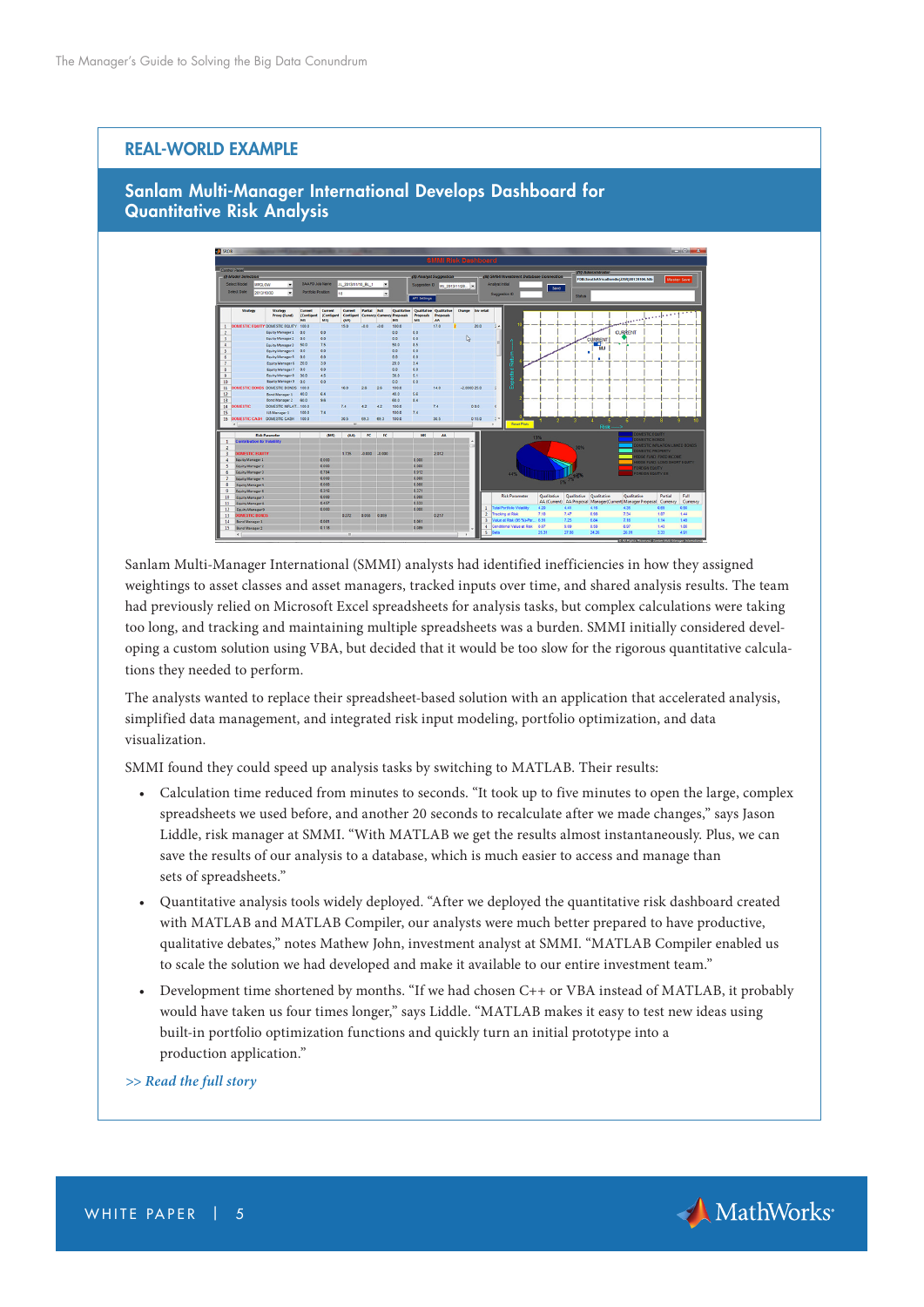## REAL-WORLD EXAMPLE

# Sanlam Multi-Manager International Develops Dashboard for Quantitative Risk Analysis



Sanlam Multi-Manager International (SMMI) analysts had identified inefficiencies in how they assigned weightings to asset classes and asset managers, tracked inputs over time, and shared analysis results. The team had previously relied on Microsoft Excel spreadsheets for analysis tasks, but complex calculations were taking too long, and tracking and maintaining multiple spreadsheets was a burden. SMMI initially considered developing a custom solution using VBA, but decided that it would be too slow for the rigorous quantitative calculations they needed to perform.

The analysts wanted to replace their spreadsheet-based solution with an application that accelerated analysis, simplified data management, and integrated risk input modeling, portfolio optimization, and data visualization.

SMMI found they could speed up analysis tasks by switching to MATLAB. Their results:

- Calculation time reduced from minutes to seconds. "It took up to five minutes to open the large, complex spreadsheets we used before, and another 20 seconds to recalculate after we made changes," says Jason Liddle, risk manager at SMMI. "With MATLAB we get the results almost instantaneously. Plus, we can save the results of our analysis to a database, which is much easier to access and manage than sets of spreadsheets."
- Quantitative analysis tools widely deployed. "After we deployed the quantitative risk dashboard created with MATLAB and MATLAB Compiler, our analysts were much better prepared to have productive, qualitative debates," notes Mathew John, investment analyst at SMMI. "MATLAB Compiler enabled us to scale the solution we had developed and make it available to our entire investment team."
- Development time shortened by months. "If we had chosen C++ or VBA instead of MATLAB, it probably would have taken us four times longer," says Liddle. "MATLAB makes it easy to test new ideas using built-in portfolio optimization functions and quickly turn an initial prototype into a production application."

*[>> Read the full story](https://www.mathworks.com/company/user_stories/sanlam-multi-manager-international-develops-dashboard-for-quantitative-risk-analysis.html?s_tid=OIT_14398 )*

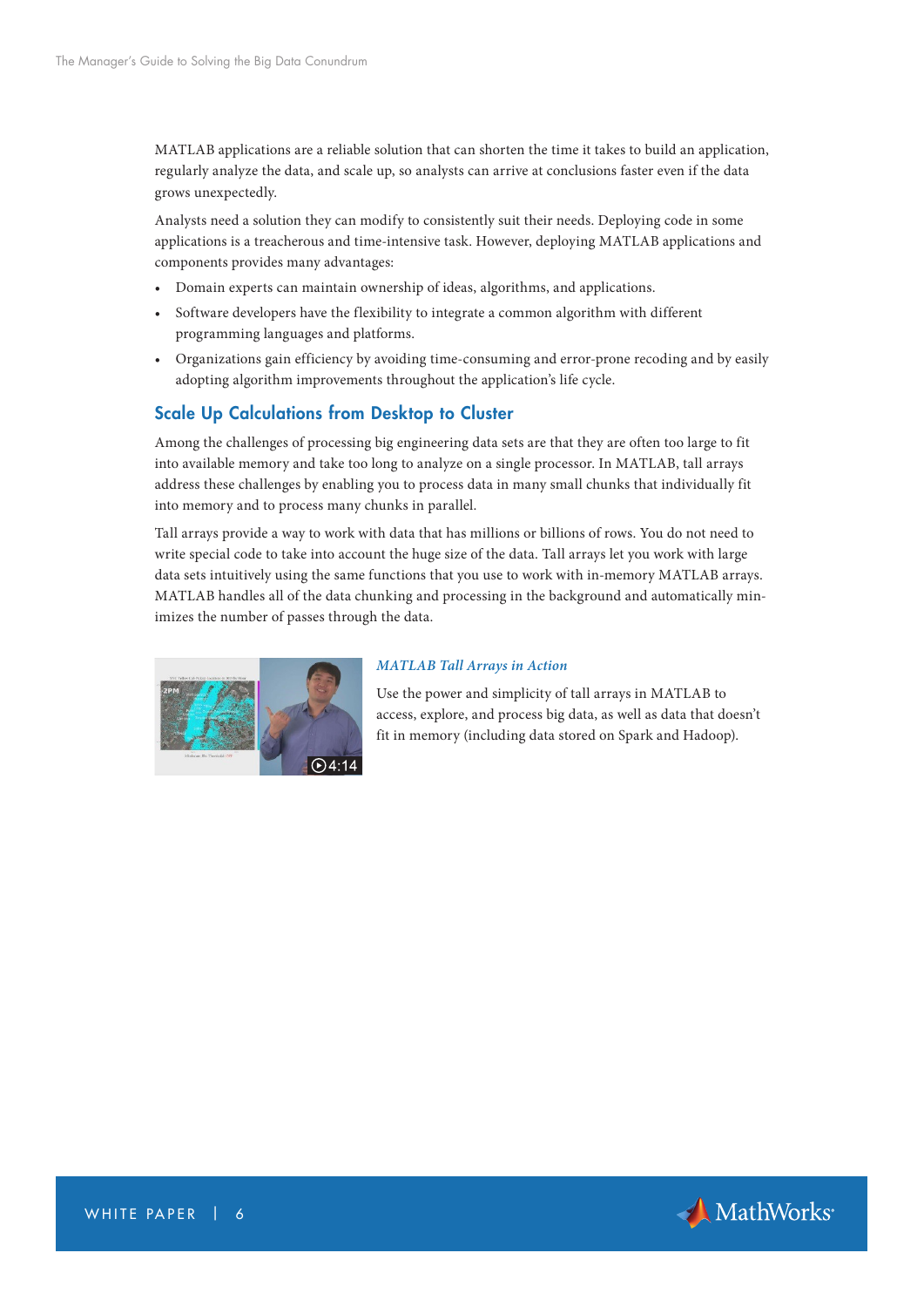MATLAB applications are a reliable solution that can shorten the time it takes to build an application, regularly analyze the data, and scale up, so analysts can arrive at conclusions faster even if the data grows unexpectedly.

Analysts need a solution they can modify to consistently suit their needs. Deploying code in some applications is a treacherous and time-intensive task. However, deploying MATLAB applications and components provides many advantages:

- Domain experts can maintain ownership of ideas, algorithms, and applications.
- Software developers have the flexibility to integrate a common algorithm with different programming languages and platforms.
- Organizations gain efficiency by avoiding time-consuming and error-prone recoding and by easily adopting algorithm improvements throughout the application's life cycle.

# Scale Up Calculations from Desktop to Cluster

Among the challenges of processing big engineering data sets are that they are often too large to fit into available memory and take too long to analyze on a single processor. In MATLAB, tall arrays address these challenges by enabling you to process data in many small chunks that individually fit into memory and to process many chunks in parallel.

Tall arrays provide a way to work with data that has millions or billions of rows. You do not need to write special code to take into account the huge size of the data. Tall arrays let you work with large data sets intuitively using the same functions that you use to work with in-memory MATLAB arrays. MATLAB handles all of the data chunking and processing in the background and automatically minimizes the number of passes through the data.



#### *[MATLAB Tall Arrays in Action](https://www.mathworks.com/videos/matlab-tall-arrays-in-action-122883.html?s_tid=OIT_14399)*

Use the power and simplicity of tall arrays in MATLAB to access, explore, and process big data, as well as data that doesn't fit in memory (including data stored on Spark and Hadoop).

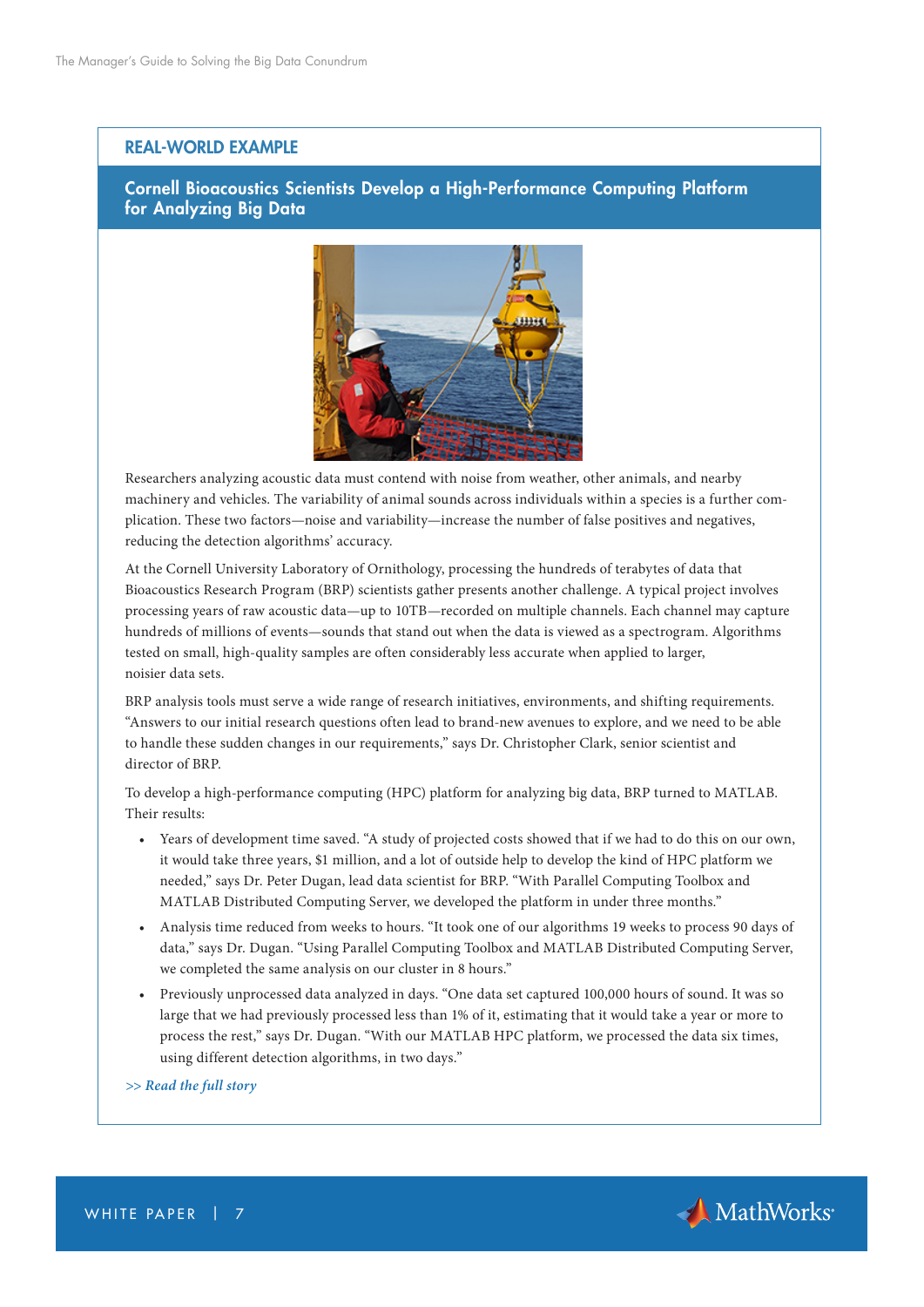## REAL-WORLD EXAMPLE

## Cornell Bioacoustics Scientists Develop a High-Performance Computing Platform for Analyzing Big Data



Researchers analyzing acoustic data must contend with noise from weather, other animals, and nearby machinery and vehicles. The variability of animal sounds across individuals within a species is a further complication. These two factors—noise and variability—increase the number of false positives and negatives, reducing the detection algorithms' accuracy.

At the Cornell University Laboratory of Ornithology, processing the hundreds of terabytes of data that Bioacoustics Research Program (BRP) scientists gather presents another challenge. A typical project involves processing years of raw acoustic data—up to 10TB—recorded on multiple channels. Each channel may capture hundreds of millions of events—sounds that stand out when the data is viewed as a spectrogram. Algorithms tested on small, high-quality samples are often considerably less accurate when applied to larger, noisier data sets.

BRP analysis tools must serve a wide range of research initiatives, environments, and shifting requirements. "Answers to our initial research questions often lead to brand-new avenues to explore, and we need to be able to handle these sudden changes in our requirements," says Dr. Christopher Clark, senior scientist and director of BRP.

To develop a high-performance computing (HPC) platform for analyzing big data, BRP turned to MATLAB. Their results:

- Years of development time saved. "A study of projected costs showed that if we had to do this on our own, it would take three years, \$1 million, and a lot of outside help to develop the kind of HPC platform we needed," says Dr. Peter Dugan, lead data scientist for BRP. "With Parallel Computing Toolbox and MATLAB Distributed Computing Server, we developed the platform in under three months."
- Analysis time reduced from weeks to hours. "It took one of our algorithms 19 weeks to process 90 days of data," says Dr. Dugan. "Using Parallel Computing Toolbox and MATLAB Distributed Computing Server, we completed the same analysis on our cluster in 8 hours."
- Previously unprocessed data analyzed in days. "One data set captured 100,000 hours of sound. It was so large that we had previously processed less than 1% of it, estimating that it would take a year or more to process the rest," says Dr. Dugan. "With our MATLAB HPC platform, we processed the data six times, using different detection algorithms, in two days."

*[>> Read the full story](https://www.mathworks.com/company/user_stories/cornell-bioacoustics-scientists-develop-a-high-performance-computing-platform-for-analyzing-big-data.html?s_tid=OIT_14400)*

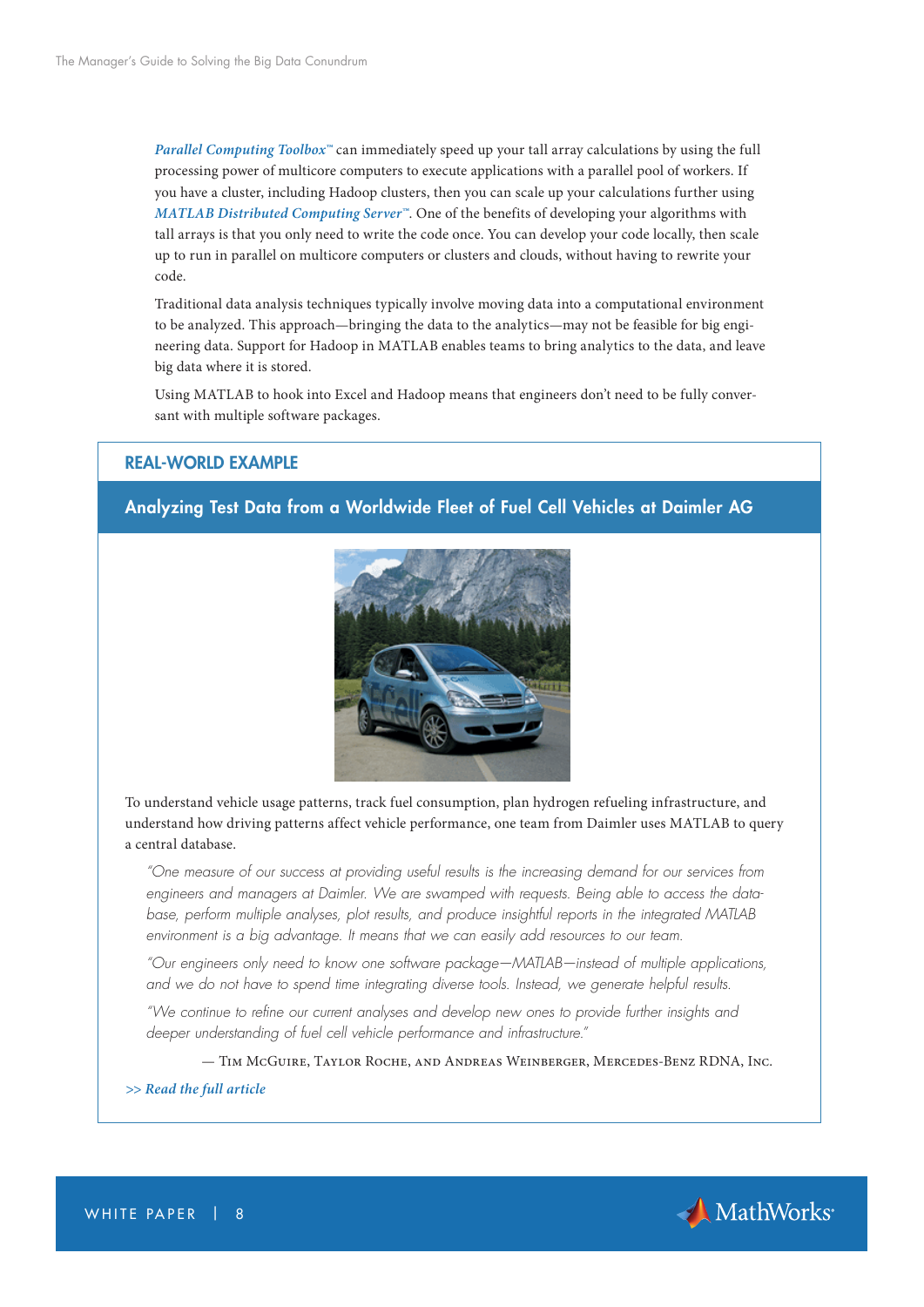*[Parallel Computing Toolbox™](https://uk.mathworks.com/products/parallel-computing/?s_tid=OIT_14417)* can immediately speed up your tall array calculations by using the full processing power of multicore computers to execute applications with a parallel pool of workers. If you have a cluster, including Hadoop clusters, then you can scale up your calculations further using *[MATLAB Distributed Computing Server™](https://uk.mathworks.com/products/distriben/?s_tid=OIT_14418)*. One of the benefits of developing your algorithms with tall arrays is that you only need to write the code once. You can develop your code locally, then scale up to run in parallel on multicore computers or clusters and clouds, without having to rewrite your code.

Traditional data analysis techniques typically involve moving data into a computational environment to be analyzed. This approach—bringing the data to the analytics—may not be feasible for big engineering data. Support for Hadoop in MATLAB enables teams to bring analytics to the data, and leave big data where it is stored.

Using MATLAB to hook into Excel and Hadoop means that engineers don't need to be fully conversant with multiple software packages.

## REAL-WORLD EXAMPLE

# Analyzing Test Data from a Worldwide Fleet of Fuel Cell Vehicles at Daimler AG



To understand vehicle usage patterns, track fuel consumption, plan hydrogen refueling infrastructure, and understand how driving patterns affect vehicle performance, one team from Daimler uses MATLAB to query a central database.

*"One measure of our success at providing useful results is the increasing demand for our services from engineers and managers at Daimler. We are swamped with requests. Being able to access the database, perform multiple analyses, plot results, and produce insightful reports in the integrated MATLAB environment is a big advantage. It means that we can easily add resources to our team.*

*"Our engineers only need to know one software package—MATLAB—instead of multiple applications, and we do not have to spend time integrating diverse tools. Instead, we generate helpful results.*

*"We continue to refine our current analyses and develop new ones to provide further insights and deeper understanding of fuel cell vehicle performance and infrastructure."*

— Tim McGuire, Taylor Roche, and Andreas Weinberger, Mercedes-Benz RDNA, Inc.

#### *[>> Read the full article](https://www.mathworks.com/company/newsletters/articles/analyzing-test-data-from-a-worldwide-fleet-of-fuel-cell-vehicles-at-daimler-ag.html?s_tid=OIT_14402 )*



WHITE PAPER | 8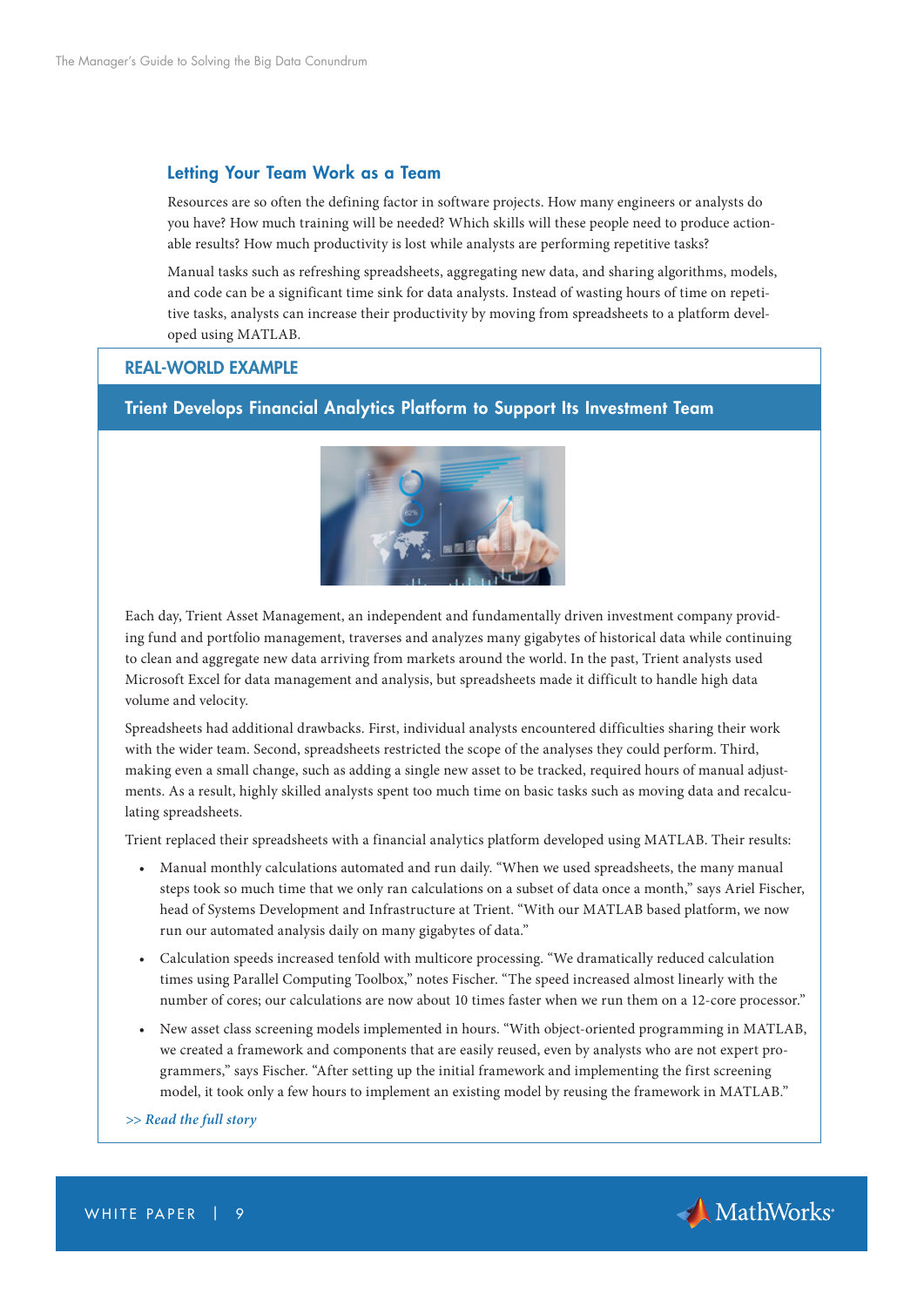## Letting Your Team Work as a Team

Resources are so often the defining factor in software projects. How many engineers or analysts do you have? How much training will be needed? Which skills will these people need to produce actionable results? How much productivity is lost while analysts are performing repetitive tasks?

Manual tasks such as refreshing spreadsheets, aggregating new data, and sharing algorithms, models, and code can be a significant time sink for data analysts. Instead of wasting hours of time on repetitive tasks, analysts can increase their productivity by moving from spreadsheets to a platform developed using MATLAB.

## REAL-WORLD EXAMPLE

# Trient Develops Financial Analytics Platform to Support Its Investment Team



Each day, Trient Asset Management, an independent and fundamentally driven investment company providing fund and portfolio management, traverses and analyzes many gigabytes of historical data while continuing to clean and aggregate new data arriving from markets around the world. In the past, Trient analysts used Microsoft Excel for data management and analysis, but spreadsheets made it difficult to handle high data volume and velocity.

Spreadsheets had additional drawbacks. First, individual analysts encountered difficulties sharing their work with the wider team. Second, spreadsheets restricted the scope of the analyses they could perform. Third, making even a small change, such as adding a single new asset to be tracked, required hours of manual adjustments. As a result, highly skilled analysts spent too much time on basic tasks such as moving data and recalculating spreadsheets.

Trient replaced their spreadsheets with a financial analytics platform developed using MATLAB. Their results:

- Manual monthly calculations automated and run daily. "When we used spreadsheets, the many manual steps took so much time that we only ran calculations on a subset of data once a month," says Ariel Fischer, head of Systems Development and Infrastructure at Trient. "With our MATLAB based platform, we now run our automated analysis daily on many gigabytes of data."
- Calculation speeds increased tenfold with multicore processing. "We dramatically reduced calculation times using Parallel Computing Toolbox," notes Fischer. "The speed increased almost linearly with the number of cores; our calculations are now about 10 times faster when we run them on a 12-core processor."
- New asset class screening models implemented in hours. "With object-oriented programming in MATLAB, we created a framework and components that are easily reused, even by analysts who are not expert programmers," says Fischer. "After setting up the initial framework and implementing the first screening model, it took only a few hours to implement an existing model by reusing the framework in MATLAB."

*[>> Read the full story](https://www.mathworks.com/company/user_stories/trient-develops-financial-analytics-platform-to-support-its-investment-team.html?s_tid=OIT_14401)*



WHITE PAPER | 9